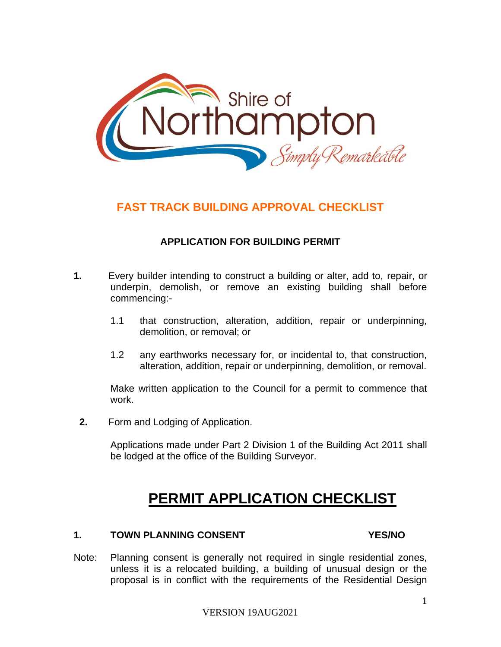

## **FAST TRACK BUILDING APPROVAL CHECKLIST**

### **APPLICATION FOR BUILDING PERMIT**

- **1.** Every builder intending to construct a building or alter, add to, repair, or underpin, demolish, or remove an existing building shall before commencing:-
	- 1.1 that construction, alteration, addition, repair or underpinning, demolition, or removal; or
	- 1.2 any earthworks necessary for, or incidental to, that construction, alteration, addition, repair or underpinning, demolition, or removal.

Make written application to the Council for a permit to commence that work.

**2.** Form and Lodging of Application.

Applications made under Part 2 Division 1 of the Building Act 2011 shall be lodged at the office of the Building Surveyor.

# **PERMIT APPLICATION CHECKLIST**

### **1. TOWN PLANNING CONSENT YES/NO**

Note: Planning consent is generally not required in single residential zones, unless it is a relocated building, a building of unusual design or the proposal is in conflict with the requirements of the Residential Design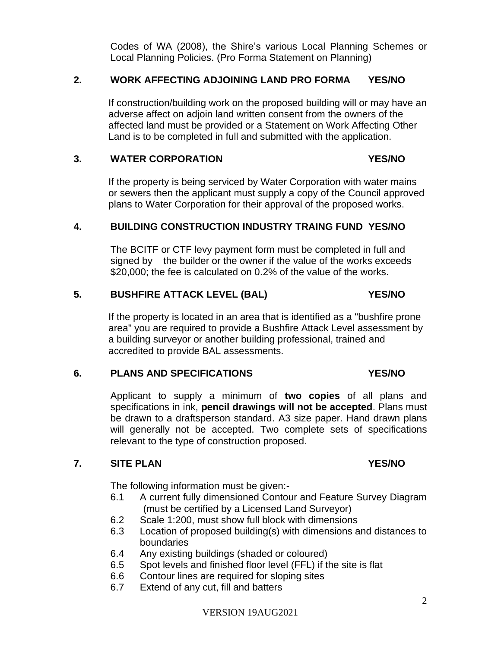Codes of WA (2008), the Shire's various Local Planning Schemes or Local Planning Policies. (Pro Forma Statement on Planning)

### **2. WORK AFFECTING ADJOINING LAND PRO FORMA YES/NO**

If construction/building work on the proposed building will or may have an adverse affect on adjoin land written consent from the owners of the affected land must be provided or a Statement on Work Affecting Other Land is to be completed in full and submitted with the application.

### **3. WATER CORPORATION YES/NO**

If the property is being serviced by Water Corporation with water mains or sewers then the applicant must supply a copy of the Council approved plans to Water Corporation for their approval of the proposed works.

### **4. BUILDING CONSTRUCTION INDUSTRY TRAING FUND YES/NO**

The BCITF or CTF levy payment form must be completed in full and signed by the builder or the owner if the value of the works exceeds \$20,000; the fee is calculated on 0.2% of the value of the works.

### **5. BUSHFIRE ATTACK LEVEL (BAL) YES/NO**

If the property is located in an area that is identified as a "bushfire prone area" you are required to provide a Bushfire Attack Level assessment by a building surveyor or another building professional, trained and accredited to provide BAL assessments.

### **6. PLANS AND SPECIFICATIONS YES/NO**

Applicant to supply a minimum of **two copies** of all plans and specifications in ink, **pencil drawings will not be accepted**. Plans must be drawn to a draftsperson standard. A3 size paper. Hand drawn plans will generally not be accepted. Two complete sets of specifications relevant to the type of construction proposed.

### **7. SITE PLAN YES/NO**

The following information must be given:-

- 6.1 A current fully dimensioned Contour and Feature Survey Diagram (must be certified by a Licensed Land Surveyor)
- 6.2 Scale 1:200, must show full block with dimensions
- 6.3 Location of proposed building(s) with dimensions and distances to boundaries
- 6.4 Any existing buildings (shaded or coloured)
- 6.5 Spot levels and finished floor level (FFL) if the site is flat
- 6.6 Contour lines are required for sloping sites
- 6.7 Extend of any cut, fill and batters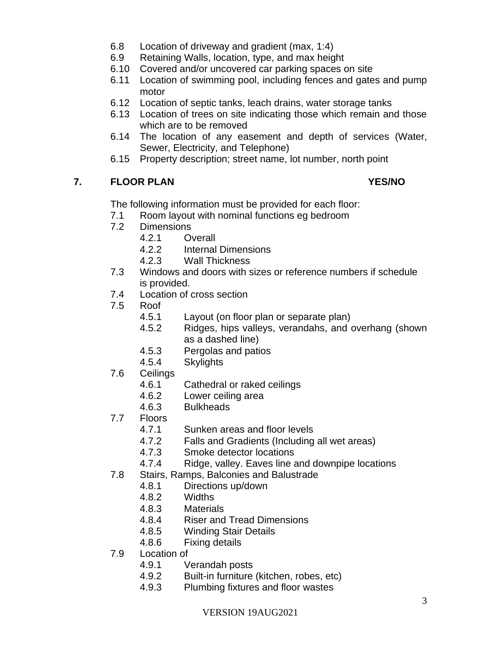- 6.8 Location of driveway and gradient (max, 1:4)
- 6.9 Retaining Walls, location, type, and max height
- 6.10 Covered and/or uncovered car parking spaces on site
- 6.11 Location of swimming pool, including fences and gates and pump motor
- 6.12 Location of septic tanks, leach drains, water storage tanks
- 6.13 Location of trees on site indicating those which remain and those which are to be removed
- 6.14 The location of any easement and depth of services (Water, Sewer, Electricity, and Telephone)
- 6.15 Property description; street name, lot number, north point

### **7. FLOOR PLAN YES/NO**

The following information must be provided for each floor:

- 7.1 Room layout with nominal functions eg bedroom
- 7.2 Dimensions
	- 4.2.1 Overall
	- 4.2.2 Internal Dimensions
	- 4.2.3 Wall Thickness
- 7.3 Windows and doors with sizes or reference numbers if schedule is provided.
- 7.4 Location of cross section
- 7.5 Roof
	- 4.5.1 Layout (on floor plan or separate plan)
	- 4.5.2 Ridges, hips valleys, verandahs, and overhang (shown as a dashed line)
	- 4.5.3 Pergolas and patios
	- 4.5.4 Skylights
- 7.6 Ceilings
	- 4.6.1 Cathedral or raked ceilings
	- 4.6.2 Lower ceiling area
	- 4.6.3 Bulkheads
- 7.7 Floors
	- 4.7.1 Sunken areas and floor levels
	- 4.7.2 Falls and Gradients (Including all wet areas)
	- 4.7.3 Smoke detector locations
	- 4.7.4 Ridge, valley. Eaves line and downpipe locations
- 7.8 Stairs, Ramps, Balconies and Balustrade
	- 4.8.1 Directions up/down
	- 4.8.2 Widths
	- 4.8.3 Materials
	- 4.8.4 Riser and Tread Dimensions
	- 4.8.5 Winding Stair Details
	- 4.8.6 Fixing details
- 7.9 Location of
	- 4.9.1 Verandah posts
	- 4.9.2 Built-in furniture (kitchen, robes, etc)
	- 4.9.3 Plumbing fixtures and floor wastes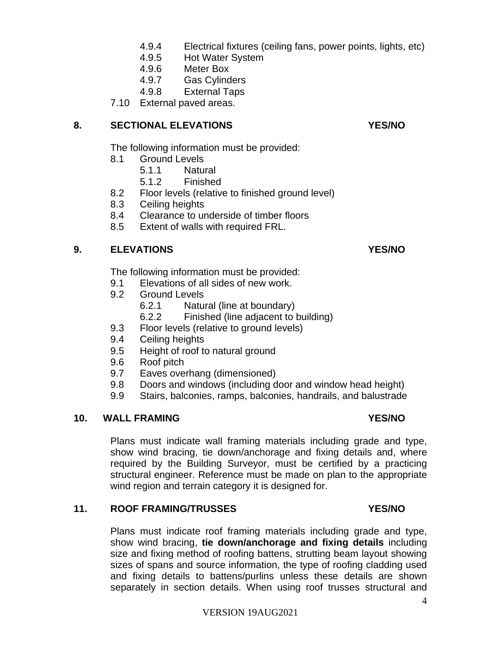- 4.9.4 Electrical fixtures (ceiling fans, power points, lights, etc) 4.9.5 Hot Water System
- 4.9.6 Meter Box
- 4.9.7 Gas Cylinders
- 4.9.8 External Taps

7.10 External paved areas.

### **8. SECTIONAL ELEVATIONS YES/NO**

The following information must be provided:

- 8.1 Ground Levels
	- 5.1.1 Natural
	- 5.1.2 Finished
- 8.2 Floor levels (relative to finished ground level)
- 8.3 Ceiling heights
- 8.4 Clearance to underside of timber floors
- 8.5 Extent of walls with required FRL.

### **9. ELEVATIONS YES/NO**

The following information must be provided:

- 9.1 Elevations of all sides of new work.
- 9.2 Ground Levels
	- 6.2.1 Natural (line at boundary)
	- 6.2.2 Finished (line adjacent to building)
- 9.3 Floor levels (relative to ground levels)
- 9.4 Ceiling heights
- 9.5 Height of roof to natural ground
- 9.6 Roof pitch
- 9.7 Eaves overhang (dimensioned)
- 9.8 Doors and windows (including door and window head height)
- 9.9 Stairs, balconies, ramps, balconies, handrails, and balustrade

### **10. WALL FRAMING YES/NO**

Plans must indicate wall framing materials including grade and type, show wind bracing, tie down/anchorage and fixing details and, where required by the Building Surveyor, must be certified by a practicing structural engineer. Reference must be made on plan to the appropriate wind region and terrain category it is designed for.

### **11. ROOF FRAMING/TRUSSES YES/NO**

Plans must indicate roof framing materials including grade and type, show wind bracing, **tie down/anchorage and fixing details** including size and fixing method of roofing battens, strutting beam layout showing sizes of spans and source information, the type of roofing cladding used and fixing details to battens/purlins unless these details are shown separately in section details. When using roof trusses structural and

4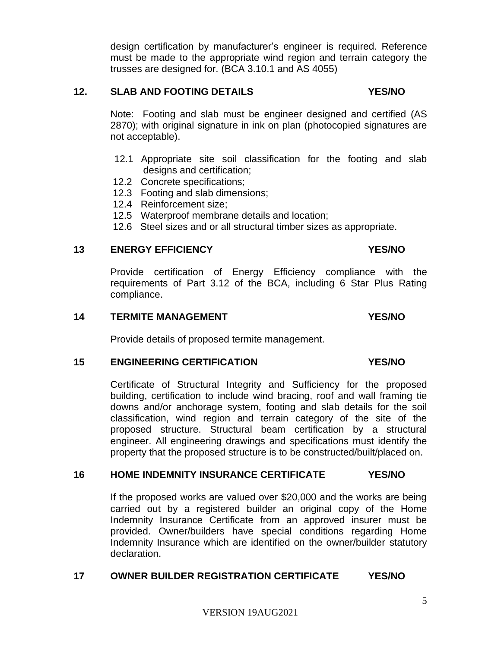design certification by manufacturer's engineer is required. Reference must be made to the appropriate wind region and terrain category the trusses are designed for. (BCA 3.10.1 and AS 4055)

### **12. SLAB AND FOOTING DETAILS YES/NO**

Note: Footing and slab must be engineer designed and certified (AS 2870); with original signature in ink on plan (photocopied signatures are not acceptable).

- 12.1 Appropriate site soil classification for the footing and slab designs and certification;
- 12.2 Concrete specifications;
- 12.3 Footing and slab dimensions;
- 12.4 Reinforcement size;
- 12.5 Waterproof membrane details and location;
- 12.6 Steel sizes and or all structural timber sizes as appropriate.

### **13 ENERGY EFFICIENCY YES/NO**

Provide certification of Energy Efficiency compliance with the requirements of Part 3.12 of the BCA, including 6 Star Plus Rating compliance.

### **14 TERMITE MANAGEMENT YES/NO**

Provide details of proposed termite management.

### **15 ENGINEERING CERTIFICATION YES/NO**

Certificate of Structural Integrity and Sufficiency for the proposed building, certification to include wind bracing, roof and wall framing tie downs and/or anchorage system, footing and slab details for the soil classification, wind region and terrain category of the site of the proposed structure. Structural beam certification by a structural engineer. All engineering drawings and specifications must identify the property that the proposed structure is to be constructed/built/placed on.

### **16 HOME INDEMNITY INSURANCE CERTIFICATE YES/NO**

If the proposed works are valued over \$20,000 and the works are being carried out by a registered builder an original copy of the Home Indemnity Insurance Certificate from an approved insurer must be provided. Owner/builders have special conditions regarding Home Indemnity Insurance which are identified on the owner/builder statutory declaration.

### **17 OWNER BUILDER REGISTRATION CERTIFICATE YES/NO**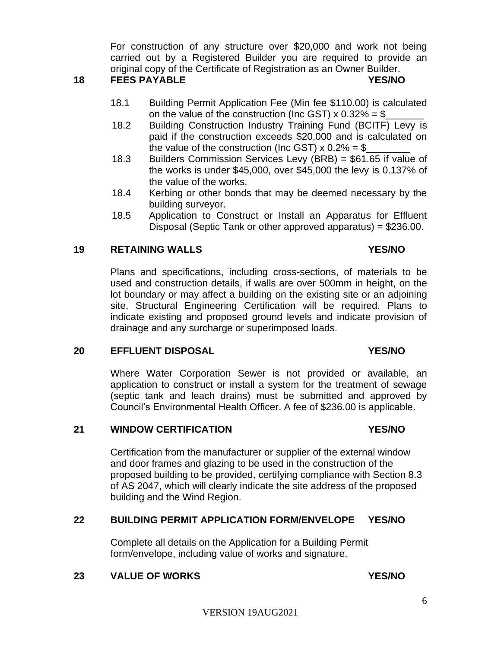For construction of any structure over \$20,000 and work not being carried out by a Registered Builder you are required to provide an original copy of the Certificate of Registration as an Owner Builder.

### **18 FEES PAYABLE YES/NO**

- 18.1 Building Permit Application Fee (Min fee \$110.00) is calculated on the value of the construction (Inc GST)  $\times$  0.32% = \$
- 18.2 Building Construction Industry Training Fund (BCITF) Levy is paid if the construction exceeds \$20,000 and is calculated on the value of the construction (Inc GST)  $\times$  0.2% = \$
- 18.3 Builders Commission Services Levy (BRB) = \$61.65 if value of the works is under \$45,000, over \$45,000 the levy is 0.137% of the value of the works.
- 18.4 Kerbing or other bonds that may be deemed necessary by the building surveyor.
- 18.5 Application to Construct or Install an Apparatus for Effluent Disposal (Septic Tank or other approved apparatus) = \$236.00.

### **19 RETAINING WALLS YES/NO**

### Plans and specifications, including cross-sections, of materials to be used and construction details, if walls are over 500mm in height, on the lot boundary or may affect a building on the existing site or an adjoining site, Structural Engineering Certification will be required. Plans to indicate existing and proposed ground levels and indicate provision of drainage and any surcharge or superimposed loads.

### **20 EFFLUENT DISPOSAL YES/NO**

### Where Water Corporation Sewer is not provided or available, an application to construct or install a system for the treatment of sewage (septic tank and leach drains) must be submitted and approved by Council's Environmental Health Officer. A fee of \$236.00 is applicable.

### **21 WINDOW CERTIFICATION YES/NO**

### Certification from the manufacturer or supplier of the external window and door frames and glazing to be used in the construction of the proposed building to be provided, certifying compliance with Section 8.3 of AS 2047, which will clearly indicate the site address of the proposed building and the Wind Region.

### **22 BUILDING PERMIT APPLICATION FORM/ENVELOPE YES/NO**

Complete all details on the Application for a Building Permit form/envelope, including value of works and signature.

### **23 VALUE OF WORKS YES/NO**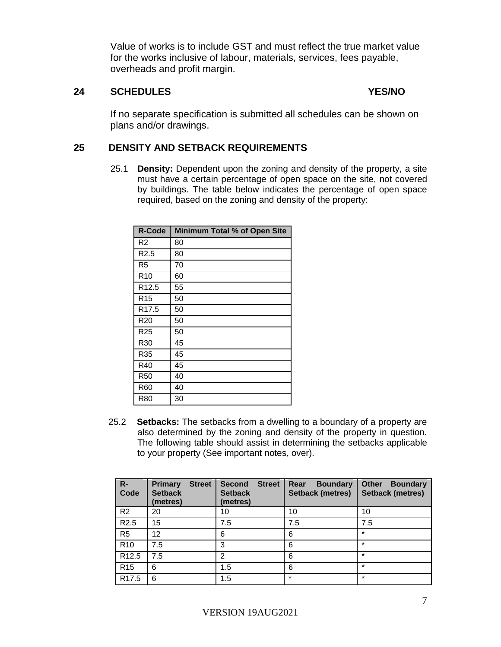Value of works is to include GST and must reflect the true market value for the works inclusive of labour, materials, services, fees payable, overheads and profit margin.

### **24 SCHEDULES YES/NO**

If no separate specification is submitted all schedules can be shown on plans and/or drawings.

### **25 DENSITY AND SETBACK REQUIREMENTS**

25.1 **Density:** Dependent upon the zoning and density of the property, a site must have a certain percentage of open space on the site, not covered by buildings. The table below indicates the percentage of open space required, based on the zoning and density of the property:

| <b>R-Code</b>     | Minimum Total % of Open Site |
|-------------------|------------------------------|
| R2                | 80                           |
| R <sub>2.5</sub>  | 80                           |
| R5                | 70                           |
| R <sub>10</sub>   | 60                           |
| R <sub>12.5</sub> | 55                           |
| R <sub>15</sub>   | 50                           |
| R <sub>17.5</sub> | 50                           |
| R <sub>20</sub>   | 50                           |
| R <sub>25</sub>   | 50                           |
| R30               | 45                           |
| R35               | 45                           |
| R40               | 45                           |
| <b>R50</b>        | 40                           |
| R60               | 40                           |
| R80               | 30                           |

25.2 **Setbacks:** The setbacks from a dwelling to a boundary of a property are also determined by the zoning and density of the property in question. The following table should assist in determining the setbacks applicable to your property (See important notes, over).

| $R -$<br>Code     | <b>Primary</b><br><b>Street</b><br><b>Setback</b><br>(metres) | <b>Street</b><br><b>Second</b><br><b>Setback</b><br>(metres) | Rear<br><b>Boundary</b><br><b>Setback (metres)</b> | <b>Other</b><br><b>Boundary</b><br><b>Setback (metres)</b> |
|-------------------|---------------------------------------------------------------|--------------------------------------------------------------|----------------------------------------------------|------------------------------------------------------------|
| R <sub>2</sub>    | 20                                                            | 10                                                           | 10                                                 | 10                                                         |
| R2.5              | 15                                                            | 7.5                                                          | 7.5                                                | 7.5                                                        |
| R <sub>5</sub>    | 12                                                            | 6                                                            | 6                                                  | $\star$                                                    |
| R <sub>10</sub>   | 7.5                                                           | 3                                                            | 6                                                  | $\star$                                                    |
| R <sub>12.5</sub> | 7.5                                                           | 2                                                            | 6                                                  | $\star$                                                    |
| R <sub>15</sub>   | 6                                                             | 1.5                                                          | 6                                                  | $\star$                                                    |
| R <sub>17.5</sub> | 6                                                             | 1.5                                                          | $\star$                                            | $\star$                                                    |